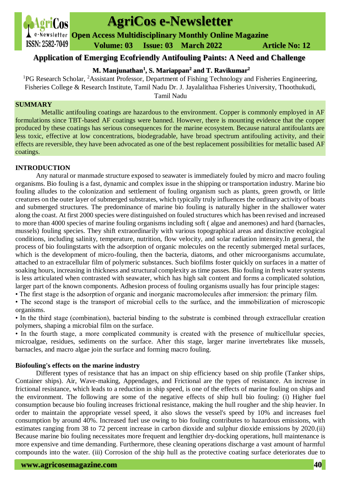

# **AgriCos e-Newsletter**

**Open Access Multidisciplinary Monthly Online Magazine**

 **ISSN: 2582-7049 Volume: 03 Issue: 03 March 2022 Article No: 12** 

# **Application of Emerging Ecofriendly Antifouling Paints: A Need and Challenge**

**M. Manjunathan<sup>1</sup> , S. Mariappan<sup>2</sup> and T. Ravikumar<sup>2</sup>**

<sup>1</sup>PG Research Scholar, <sup>2</sup>Assistant Professor, Department of Fishing Technology and Fisheries Engineering, Fisheries College & Research Institute, Tamil Nadu Dr. J. Jayalalithaa Fisheries University, Thoothukudi, Tamil Nadu

## **SUMMARY**

Metallic antifouling coatings are hazardous to the environment. Copper is commonly employed in AF formulations since TBT-based AF coatings were banned. However, there is mounting evidence that the copper produced by these coatings has serious consequences for the marine ecosystem. Because natural antifoulants are less toxic, effective at low concentrations, biodegradable, have broad spectrum antifouling activity, and their effects are reversible, they have been advocated as one of the best replacement possibilities for metallic based AF coatings.

# **INTRODUCTION**

Any natural or manmade structure exposed to seawater is immediately fouled by micro and macro fouling organisms. Bio fouling is a fast, dynamic and complex issue in the shipping or transportation industry. Marine bio fouling alludes to the colonization and settlement of fouling organism such as plants, green growth, or little creatures on the outer layer of submerged substrates, which typically truly influences the ordinary activity of boats and submerged structures. The predominance of marine bio fouling is naturally higher in the shallower water along the coast. At first 2000 species were distinguished on fouled structures which has been revised and increased to more than 4000 species of marine fouling organisms including soft ( algae and anemones) and hard (barnacles, mussels) fouling species. They shift extraordinarily with various topographical areas and distinctive ecological conditions, including salinity, temperature, nutrition, flow velocity, and solar radiation intensity.In general, the process of bio foulingstarts with the adsorption of organic molecules on the recently submerged metal surfaces, which is the development of micro-fouling, then the bacteria, diatoms, and other microorganisms accumulate, attached to an extracellular film of polymeric substances. Such biofilms foster quickly on surfaces in a matter of soaking hours, increasing in thickness and structural complexity as time passes. Bio fouling in fresh water systems is less articulated when contrasted with seawater, which has high salt content and forms a complicated solution, larger part of the known components. Adhesion process of fouling organisms usually has four principle stages:

• The first stage is the adsorption of organic and inorganic macromolecules after immersion: the primary film.

• The second stage is the transport of microbial cells to the surface, and the immobilization of microscopic organisms.

• In the third stage (combination), bacterial binding to the substrate is combined through extracellular creation polymers, shaping a microbial film on the surface.

• In the fourth stage, a more complicated community is created with the presence of multicellular species, microalgae, residues, sediments on the surface. After this stage, larger marine invertebrates like mussels, barnacles, and macro algae join the surface and forming macro fouling.

## **Biofouling's effects on the marine industry**

Different types of resistance that has an impact on ship efficiency based on ship profile (Tanker ships, Container ships). Air, Wave-making, Appendages, and Frictional are the types of resistance. An increase in frictional resistance, which leads to a reduction in ship speed, is one of the effects of marine fouling on ships and the environment. The following are some of the negative effects of ship hull bio fouling: (i) Higher fuel consumption because bio fouling increases frictional resistance, making the hull rougher and the ship heavier. In order to maintain the appropriate vessel speed, it also slows the vessel's speed by 10% and increases fuel consumption by around 40%. Increased fuel use owing to bio fouling contributes to hazardous emissions, with estimates ranging from 38 to 72 percent increase in carbon dioxide and sulphur dioxide emissions by 2020.(ii) Because marine bio fouling necessitates more frequent and lengthier dry-docking operations, hull maintenance is more expensive and time demanding. Furthermore, these cleaning operations discharge a vast amount of harmful compounds into the water. (iii) Corrosion of the ship hull as the protective coating surface deteriorates due to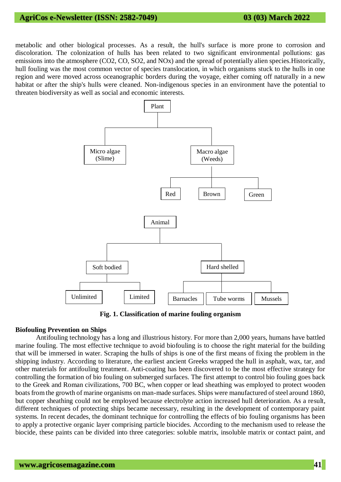# **AgriCos e-Newsletter (ISSN: 2582-7049) 03 (03) March 2022**

metabolic and other biological processes. As a result, the hull's surface is more prone to corrosion and discoloration. The colonization of hulls has been related to two significant environmental pollutions: gas emissions into the atmosphere (CO2, CO, SO2, and NOx) and the spread of potentially alien species.Historically, hull fouling was the most common vector of species translocation, in which organisms stuck to the hulls in one region and were moved across oceanographic borders during the voyage, either coming off naturally in a new habitat or after the ship's hulls were cleaned. Non-indigenous species in an environment have the potential to threaten biodiversity as well as social and economic interests.



**Fig. 1. Classification of marine fouling organism**

#### **Biofouling Prevention on Ships**

Antifouling technology has a long and illustrious history. For more than 2,000 years, humans have battled marine fouling. The most effective technique to avoid biofouling is to choose the right material for the building that will be immersed in water. Scraping the hulls of ships is one of the first means of fixing the problem in the shipping industry. According to literature, the earliest ancient Greeks wrapped the hull in asphalt, wax, tar, and other materials for antifouling treatment. Anti-coating has been discovered to be the most effective strategy for controlling the formation of bio fouling on submerged surfaces. The first attempt to control bio fouling goes back to the Greek and Roman civilizations, 700 BC, when copper or lead sheathing was employed to protect wooden boats from the growth of marine organisms on man-made surfaces. Ships were manufactured of steel around 1860, but copper sheathing could not be employed because electrolyte action increased hull deterioration. As a result, different techniques of protecting ships became necessary, resulting in the development of contemporary paint systems. In recent decades, the dominant technique for controlling the effects of bio fouling organisms has been to apply a protective organic layer comprising particle biocides. According to the mechanism used to release the biocide, these paints can be divided into three categories: soluble matrix, insoluble matrix or contact paint, and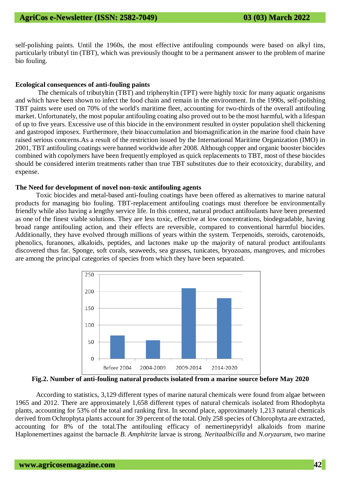self-polishing paints. Until the 1960s, the most effective antifouling compounds were based on alkyl tins, particularly tributyl tin (TBT), which was previously thought to be a permanent answer to the problem of marine bio fouling.

#### **Ecological consequences of anti-fouling paints**

The chemicals of tributyltin (TBT) and triphenyltin (TPT) were highly toxic for many aquatic organisms and which have been shown to infect the food chain and remain in the environment. In the 1990s, self-polishing TBT paints were used on 70% of the world's maritime fleet, accounting for two-thirds of the overall antifouling market. Unfortunately, the most popular antifouling coating also proved out to be the most harmful, with a lifespan of up to five years. Excessive use of this biocide in the environment resulted in oyster population shell thickening and gastropod imposex. Furthermore, their bioaccumulation and biomagnification in the marine food chain have raised serious concerns.As a result of the restriction issued by the International Maritime Organization (IMO) in 2001, TBT antifouling coatings were banned worldwide after 2008. Although copper and organic booster biocides combined with copolymers have been frequently employed as quick replacements to TBT, most of these biocides should be considered interim treatments rather than true TBT substitutes due to their ecotoxicity, durability, and expense.

#### **The Need for development of novel non-toxic antifouling agents**

Toxic biocides and metal-based anti-fouling coatings have been offered as alternatives to marine natural products for managing bio fouling. TBT-replacement antifouling coatings must therefore be environmentally friendly while also having a lengthy service life. In this context, natural product antifoulants have been presented as one of the finest viable solutions. They are less toxic, effective at low concentrations, biodegradable, having broad range antifouling action, and their effects are reversible, compared to conventional harmful biocides. Additionally, they have evolved through millions of years within the system. Terpenoids, steroids, carotenoids, phenolics, furanones, alkaloids, peptides, and lactones make up the majority of natural product antifoulants discovered thus far. Sponge, soft corals, seaweeds, sea grasses, tunicates, bryozoans, mangroves, and microbes are among the principal categories of species from which they have been separated.



**Fig.2. Number of anti-fouling natural products isolated from a marine source before May 2020**

According to statistics, 3,129 different types of marine natural chemicals were found from algae between 1965 and 2012. There are approximately 1,658 different types of natural chemicals isolated from Rhodophyta plants, accounting for 53% of the total and ranking first. In second place, approximately 1,213 natural chemicals derived from Ochrophyta plants account for 39 percent of the total. Only 258 species of Chlorophyta are extracted, accounting for 8% of the total.The antifouling efficacy of nemertinepyridyl alkaloids from marine Haplonemertines against the barnacle *B. Amphitrite* larvae is strong. *Neritaalbicilla* and *N.oryzarum*, two marine